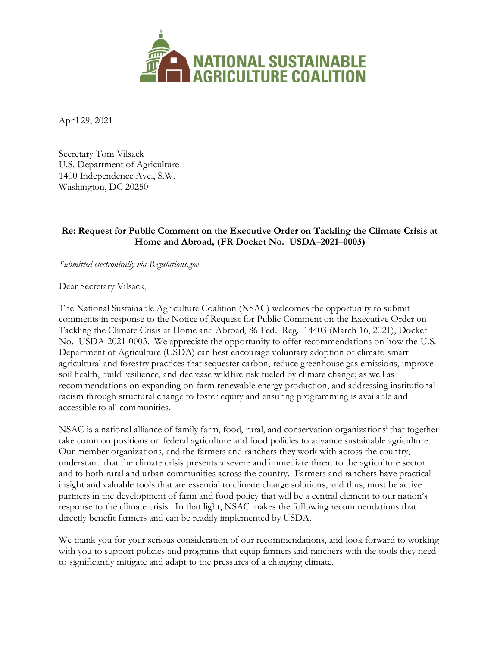

April 29, 2021

Secretary Tom Vilsack U.S. Department of Agriculture 1400 Independence Ave., S.W. Washington, DC 20250

#### **Re: Request for Public Comment on the Executive Order on Tackling the Climate Crisis at Home and Abroad, (FR Docket No. USDA–2021–0003)**

*Submitted electronically via Regulations.gov*

Dear Secretary Vilsack,

The National Sustainable Agriculture Coalition (NSAC) welcomes the opportunity to submit comments in response to the Notice of Request for Public Comment on the Executive Order on Tackling the Climate Crisis at Home and Abroad, 86 Fed. Reg. 14403 (March 16, 2021), Docket No. USDA-2021-0003. We appreciate the opportunity to offer recommendations on how the U.S. Department of Agriculture (USDA) can best encourage voluntary adoption of climate-smart agricultural and forestry practices that sequester carbon, reduce greenhouse gas emissions, improve soil health, build resilience, and decrease wildfire risk fueled by climate change; as well as recommendations on expanding on-farm renewable energy production, and addressing institutional racism through structural change to foster equity and ensuring programming is available and accessible to all communities.

NSAC is a national alliance of family farm, food, rural, and conservation organizationsi that together take common positions on federal agriculture and food policies to advance sustainable agriculture. Our member organizations, and the farmers and ranchers they work with across the country, understand that the climate crisis presents a severe and immediate threat to the agriculture sector and to both rural and urban communities across the country. Farmers and ranchers have practical insight and valuable tools that are essential to climate change solutions, and thus, must be active partners in the development of farm and food policy that will be a central element to our nation's response to the climate crisis. In that light, NSAC makes the following recommendations that directly benefit farmers and can be readily implemented by USDA.

We thank you for your serious consideration of our recommendations, and look forward to working with you to support policies and programs that equip farmers and ranchers with the tools they need to significantly mitigate and adapt to the pressures of a changing climate.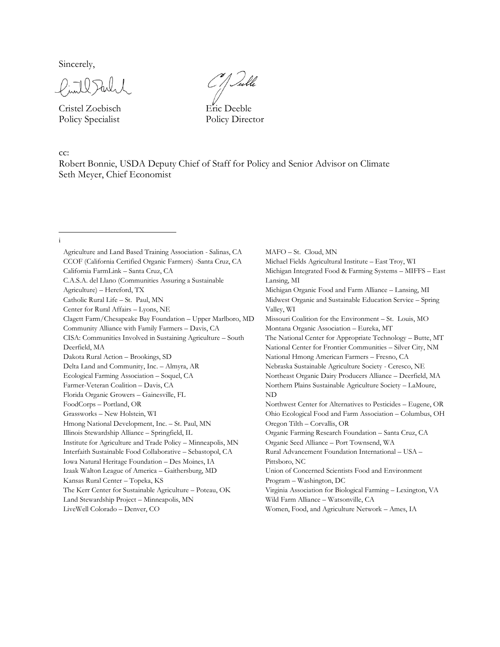Sincerely,

Cristel Zoebisch Eric Deeble Policy Specialist Policy Director

C J Tuble

cc:

Robert Bonnie, USDA Deputy Chief of Staff for Policy and Senior Advisor on Climate Seth Meyer, Chief Economist

i

Agriculture and Land Based Training Association - Salinas, CA CCOF (California Certified Organic Farmers) -Santa Cruz, CA California FarmLink – Santa Cruz, CA C.A.S.A. del Llano (Communities Assuring a Sustainable Agriculture) – Hereford, TX Catholic Rural Life – St. Paul, MN Center for Rural Affairs – Lyons, NE Clagett Farm/Chesapeake Bay Foundation – Upper Marlboro, MD Community Alliance with Family Farmers – Davis, CA CISA: Communities Involved in Sustaining Agriculture – South Deerfield, MA Dakota Rural Action – Brookings, SD Delta Land and Community, Inc. – Almyra, AR Ecological Farming Association – Soquel, CA Farmer-Veteran Coalition – Davis, CA Florida Organic Growers – Gainesville, FL FoodCorps – Portland, OR Grassworks – New Holstein, WI Hmong National Development, Inc. – St. Paul, MN Illinois Stewardship Alliance – Springfield, IL Institute for Agriculture and Trade Policy – Minneapolis, MN Interfaith Sustainable Food Collaborative – Sebastopol, CA Iowa Natural Heritage Foundation – Des Moines, IA Izaak Walton League of America – Gaithersburg, MD Kansas Rural Center – Topeka, KS The Kerr Center for Sustainable Agriculture – Poteau, OK Land Stewardship Project – Minneapolis, MN LiveWell Colorado – Denver, CO

MAFO – St. Cloud, MN Michael Fields Agricultural Institute – East Troy, WI Michigan Integrated Food & Farming Systems – MIFFS – East Lansing, MI Michigan Organic Food and Farm Alliance – Lansing, MI Midwest Organic and Sustainable Education Service – Spring Valley, WI Missouri Coalition for the Environment – St. Louis, MO Montana Organic Association – Eureka, MT The National Center for Appropriate Technology – Butte, MT National Center for Frontier Communities – Silver City, NM National Hmong American Farmers – Fresno, CA Nebraska Sustainable Agriculture Society - Ceresco, NE Northeast Organic Dairy Producers Alliance – Deerfield, MA Northern Plains Sustainable Agriculture Society – LaMoure, ND Northwest Center for Alternatives to Pesticides – Eugene, OR Ohio Ecological Food and Farm Association – Columbus, OH Oregon Tilth – Corvallis, OR Organic Farming Research Foundation – Santa Cruz, CA Organic Seed Alliance – Port Townsend, WA Rural Advancement Foundation International – USA – Pittsboro, NC Union of Concerned Scientists Food and Environment Program – Washington, DC Virginia Association for Biological Farming – Lexington, VA Wild Farm Alliance – Watsonville, CA Women, Food, and Agriculture Network – Ames, IA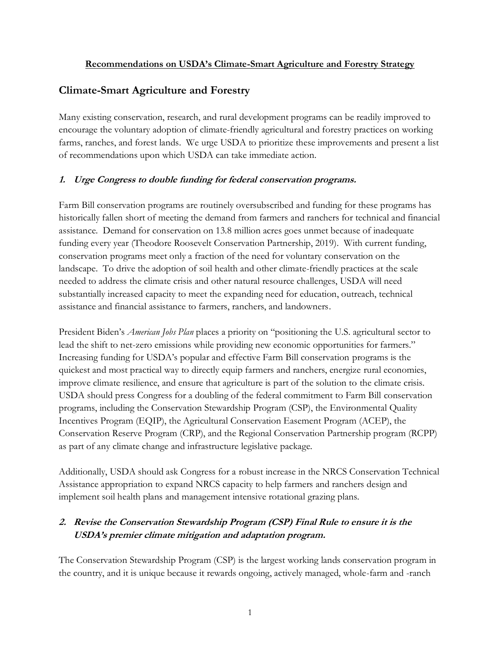#### **Recommendations on USDA's Climate-Smart Agriculture and Forestry Strategy**

### **Climate-Smart Agriculture and Forestry**

Many existing conservation, research, and rural development programs can be readily improved to encourage the voluntary adoption of climate-friendly agricultural and forestry practices on working farms, ranches, and forest lands. We urge USDA to prioritize these improvements and present a list of recommendations upon which USDA can take immediate action.

#### **1. Urge Congress to double funding for federal conservation programs.**

Farm Bill conservation programs are routinely oversubscribed and funding for these programs has historically fallen short of meeting the demand from farmers and ranchers for technical and financial assistance. Demand for conservation on 13.8 million acres goes unmet because of inadequate funding every year (Theodore Roosevelt Conservation Partnership, 2019). With current funding, conservation programs meet only a fraction of the need for voluntary conservation on the landscape. To drive the adoption of soil health and other climate-friendly practices at the scale needed to address the climate crisis and other natural resource challenges, USDA will need substantially increased capacity to meet the expanding need for education, outreach, technical assistance and financial assistance to farmers, ranchers, and landowners.

President Biden's *American Jobs Plan* places a priority on "positioning the U.S. agricultural sector to lead the shift to net-zero emissions while providing new economic opportunities for farmers." Increasing funding for USDA's popular and effective Farm Bill conservation programs is the quickest and most practical way to directly equip farmers and ranchers, energize rural economies, improve climate resilience, and ensure that agriculture is part of the solution to the climate crisis. USDA should press Congress for a doubling of the federal commitment to Farm Bill conservation programs, including the Conservation Stewardship Program (CSP), the Environmental Quality Incentives Program (EQIP), the Agricultural Conservation Easement Program (ACEP), the Conservation Reserve Program (CRP), and the Regional Conservation Partnership program (RCPP) as part of any climate change and infrastructure legislative package.

Additionally, USDA should ask Congress for a robust increase in the NRCS Conservation Technical Assistance appropriation to expand NRCS capacity to help farmers and ranchers design and implement soil health plans and management intensive rotational grazing plans.

## **2. Revise the Conservation Stewardship Program (CSP) Final Rule to ensure it is the USDA's premier climate mitigation and adaptation program.**

The Conservation Stewardship Program (CSP) is the largest working lands conservation program in the country, and it is unique because it rewards ongoing, actively managed, whole-farm and -ranch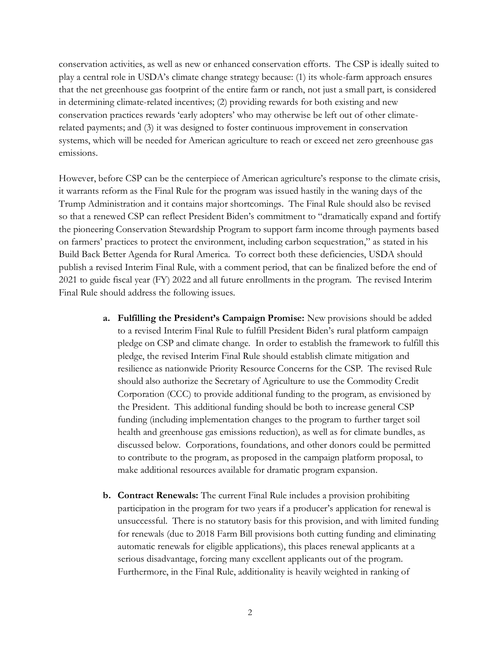conservation activities, as well as new or enhanced conservation efforts. The CSP is ideally suited to play a central role in USDA's climate change strategy because: (1) its whole-farm approach ensures that the net greenhouse gas footprint of the entire farm or ranch, not just a small part, is considered in determining climate-related incentives; (2) providing rewards for both existing and new conservation practices rewards 'early adopters' who may otherwise be left out of other climaterelated payments; and (3) it was designed to foster continuous improvement in conservation systems, which will be needed for American agriculture to reach or exceed net zero greenhouse gas emissions.

However, before CSP can be the centerpiece of American agriculture's response to the climate crisis, it warrants reform as the Final Rule for the program was issued hastily in the waning days of the Trump Administration and it contains major shortcomings. The Final Rule should also be revised so that a renewed CSP can reflect President Biden's commitment to "dramatically expand and fortify the pioneering Conservation Stewardship Program to support farm income through payments based on farmers' practices to protect the environment, including carbon sequestration," as stated in his Build Back Better Agenda for Rural America. To correct both these deficiencies, USDA should publish a revised Interim Final Rule, with a comment period, that can be finalized before the end of 2021 to guide fiscal year (FY) 2022 and all future enrollments in the program. The revised Interim Final Rule should address the following issues.

- **a. Fulfilling the President's Campaign Promise:** New provisions should be added to a revised Interim Final Rule to fulfill President Biden's rural platform campaign pledge on CSP and climate change. In order to establish the framework to fulfill this pledge, the revised Interim Final Rule should establish climate mitigation and resilience as nationwide Priority Resource Concerns for the CSP. The revised Rule should also authorize the Secretary of Agriculture to use the Commodity Credit Corporation (CCC) to provide additional funding to the program, as envisioned by the President. This additional funding should be both to increase general CSP funding (including implementation changes to the program to further target soil health and greenhouse gas emissions reduction), as well as for climate bundles, as discussed below. Corporations, foundations, and other donors could be permitted to contribute to the program, as proposed in the campaign platform proposal, to make additional resources available for dramatic program expansion.
- **b. Contract Renewals:** The current Final Rule includes a provision prohibiting participation in the program for two years if a producer's application for renewal is unsuccessful. There is no statutory basis for this provision, and with limited funding for renewals (due to 2018 Farm Bill provisions both cutting funding and eliminating automatic renewals for eligible applications), this places renewal applicants at a serious disadvantage, forcing many excellent applicants out of the program. Furthermore, in the Final Rule, additionality is heavily weighted in ranking of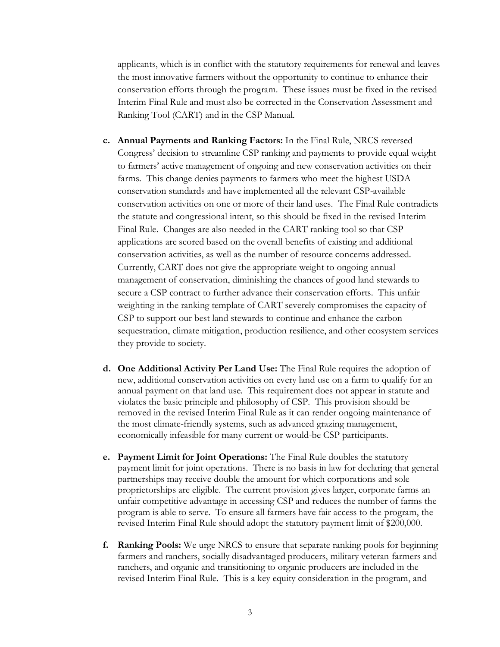applicants, which is in conflict with the statutory requirements for renewal and leaves the most innovative farmers without the opportunity to continue to enhance their conservation efforts through the program. These issues must be fixed in the revised Interim Final Rule and must also be corrected in the Conservation Assessment and Ranking Tool (CART) and in the CSP Manual.

- **c. Annual Payments and Ranking Factors:** In the Final Rule, NRCS reversed Congress' decision to streamline CSP ranking and payments to provide equal weight to farmers' active management of ongoing and new conservation activities on their farms. This change denies payments to farmers who meet the highest USDA conservation standards and have implemented all the relevant CSP-available conservation activities on one or more of their land uses. The Final Rule contradicts the statute and congressional intent, so this should be fixed in the revised Interim Final Rule. Changes are also needed in the CART ranking tool so that CSP applications are scored based on the overall benefits of existing and additional conservation activities, as well as the number of resource concerns addressed. Currently, CART does not give the appropriate weight to ongoing annual management of conservation, diminishing the chances of good land stewards to secure a CSP contract to further advance their conservation efforts. This unfair weighting in the ranking template of CART severely compromises the capacity of CSP to support our best land stewards to continue and enhance the carbon sequestration, climate mitigation, production resilience, and other ecosystem services they provide to society.
- **d. One Additional Activity Per Land Use:** The Final Rule requires the adoption of new, additional conservation activities on every land use on a farm to qualify for an annual payment on that land use. This requirement does not appear in statute and violates the basic principle and philosophy of CSP. This provision should be removed in the revised Interim Final Rule as it can render ongoing maintenance of the most climate-friendly systems, such as advanced grazing management, economically infeasible for many current or would-be CSP participants.
- **e. Payment Limit for Joint Operations:** The Final Rule doubles the statutory payment limit for joint operations. There is no basis in law for declaring that general partnerships may receive double the amount for which corporations and sole proprietorships are eligible. The current provision gives larger, corporate farms an unfair competitive advantage in accessing CSP and reduces the number of farms the program is able to serve. To ensure all farmers have fair access to the program, the revised Interim Final Rule should adopt the statutory payment limit of \$200,000.
- **f. Ranking Pools:** We urge NRCS to ensure that separate ranking pools for beginning farmers and ranchers, socially disadvantaged producers, military veteran farmers and ranchers, and organic and transitioning to organic producers are included in the revised Interim Final Rule. This is a key equity consideration in the program, and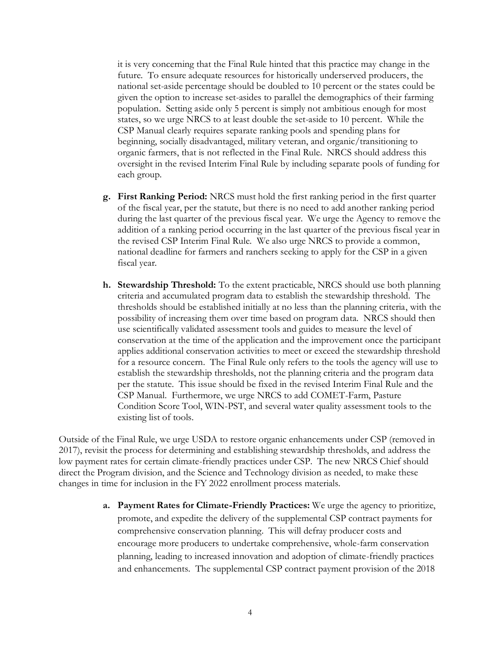it is very concerning that the Final Rule hinted that this practice may change in the future. To ensure adequate resources for historically underserved producers, the national set-aside percentage should be doubled to 10 percent or the states could be given the option to increase set-asides to parallel the demographics of their farming population. Setting aside only 5 percent is simply not ambitious enough for most states, so we urge NRCS to at least double the set-aside to 10 percent. While the CSP Manual clearly requires separate ranking pools and spending plans for beginning, socially disadvantaged, military veteran, and organic/transitioning to organic farmers, that is not reflected in the Final Rule. NRCS should address this oversight in the revised Interim Final Rule by including separate pools of funding for each group.

- **g. First Ranking Period:** NRCS must hold the first ranking period in the first quarter of the fiscal year, per the statute, but there is no need to add another ranking period during the last quarter of the previous fiscal year. We urge the Agency to remove the addition of a ranking period occurring in the last quarter of the previous fiscal year in the revised CSP Interim Final Rule. We also urge NRCS to provide a common, national deadline for farmers and ranchers seeking to apply for the CSP in a given fiscal year.
- **h. Stewardship Threshold:** To the extent practicable, NRCS should use both planning criteria and accumulated program data to establish the stewardship threshold. The thresholds should be established initially at no less than the planning criteria, with the possibility of increasing them over time based on program data. NRCS should then use scientifically validated assessment tools and guides to measure the level of conservation at the time of the application and the improvement once the participant applies additional conservation activities to meet or exceed the stewardship threshold for a resource concern. The Final Rule only refers to the tools the agency will use to establish the stewardship thresholds, not the planning criteria and the program data per the statute. This issue should be fixed in the revised Interim Final Rule and the CSP Manual. Furthermore, we urge NRCS to add COMET-Farm, Pasture Condition Score Tool, WIN-PST, and several water quality assessment tools to the existing list of tools.

Outside of the Final Rule, we urge USDA to restore organic enhancements under CSP (removed in 2017), revisit the process for determining and establishing stewardship thresholds, and address the low payment rates for certain climate-friendly practices under CSP. The new NRCS Chief should direct the Program division, and the Science and Technology division as needed, to make these changes in time for inclusion in the FY 2022 enrollment process materials.

> **a. Payment Rates for Climate-Friendly Practices:** We urge the agency to prioritize, promote, and expedite the delivery of the supplemental CSP contract payments for comprehensive conservation planning. This will defray producer costs and encourage more producers to undertake comprehensive, whole-farm conservation planning, leading to increased innovation and adoption of climate-friendly practices and enhancements. The supplemental CSP contract payment provision of the 2018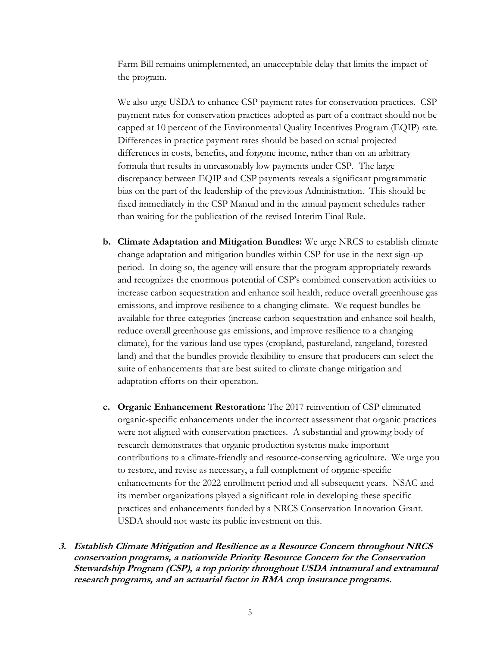Farm Bill remains unimplemented, an unacceptable delay that limits the impact of the program.

We also urge USDA to enhance CSP payment rates for conservation practices. CSP payment rates for conservation practices adopted as part of a contract should not be capped at 10 percent of the Environmental Quality Incentives Program (EQIP) rate. Differences in practice payment rates should be based on actual projected differences in costs, benefits, and forgone income, rather than on an arbitrary formula that results in unreasonably low payments under CSP. The large discrepancy between EQIP and CSP payments reveals a significant programmatic bias on the part of the leadership of the previous Administration. This should be fixed immediately in the CSP Manual and in the annual payment schedules rather than waiting for the publication of the revised Interim Final Rule.

- **b. Climate Adaptation and Mitigation Bundles:** We urge NRCS to establish climate change adaptation and mitigation bundles within CSP for use in the next sign-up period. In doing so, the agency will ensure that the program appropriately rewards and recognizes the enormous potential of CSP's combined conservation activities to increase carbon sequestration and enhance soil health, reduce overall greenhouse gas emissions, and improve resilience to a changing climate. We request bundles be available for three categories (increase carbon sequestration and enhance soil health, reduce overall greenhouse gas emissions, and improve resilience to a changing climate), for the various land use types (cropland, pastureland, rangeland, forested land) and that the bundles provide flexibility to ensure that producers can select the suite of enhancements that are best suited to climate change mitigation and adaptation efforts on their operation.
- **c. Organic Enhancement Restoration:** The 2017 reinvention of CSP eliminated organic-specific enhancements under the incorrect assessment that organic practices were not aligned with conservation practices. A substantial and growing body of research demonstrates that organic production systems make important contributions to a climate-friendly and resource-conserving agriculture. We urge you to restore, and revise as necessary, a full complement of organic-specific enhancements for the 2022 enrollment period and all subsequent years. NSAC and its member organizations played a significant role in developing these specific practices and enhancements funded by a NRCS Conservation Innovation Grant. USDA should not waste its public investment on this.
- **3. Establish Climate Mitigation and Resilience as a Resource Concern throughout NRCS conservation programs, a nationwide Priority Resource Concern for the Conservation Stewardship Program (CSP), a top priority throughout USDA intramural and extramural research programs, and an actuarial factor in RMA crop insurance programs.**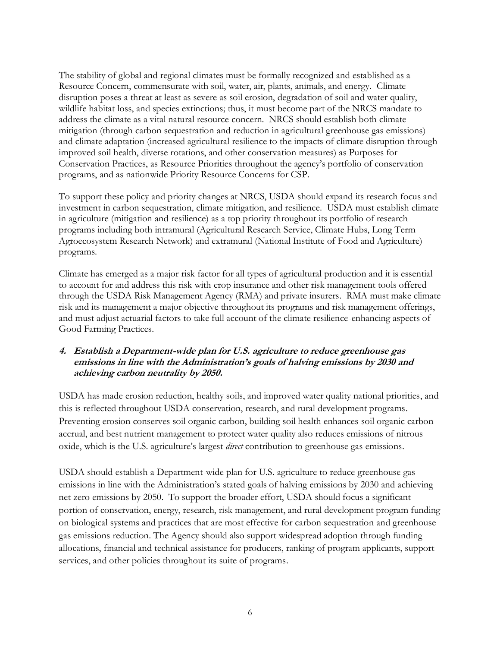The stability of global and regional climates must be formally recognized and established as a Resource Concern, commensurate with soil, water, air, plants, animals, and energy. Climate disruption poses a threat at least as severe as soil erosion, degradation of soil and water quality, wildlife habitat loss, and species extinctions; thus, it must become part of the NRCS mandate to address the climate as a vital natural resource concern. NRCS should establish both climate mitigation (through carbon sequestration and reduction in agricultural greenhouse gas emissions) and climate adaptation (increased agricultural resilience to the impacts of climate disruption through improved soil health, diverse rotations, and other conservation measures) as Purposes for Conservation Practices, as Resource Priorities throughout the agency's portfolio of conservation programs, and as nationwide Priority Resource Concerns for CSP.

To support these policy and priority changes at NRCS, USDA should expand its research focus and investment in carbon sequestration, climate mitigation, and resilience. USDA must establish climate in agriculture (mitigation and resilience) as a top priority throughout its portfolio of research programs including both intramural (Agricultural Research Service, Climate Hubs, Long Term Agroecosystem Research Network) and extramural (National Institute of Food and Agriculture) programs.

Climate has emerged as a major risk factor for all types of agricultural production and it is essential to account for and address this risk with crop insurance and other risk management tools offered through the USDA Risk Management Agency (RMA) and private insurers. RMA must make climate risk and its management a major objective throughout its programs and risk management offerings, and must adjust actuarial factors to take full account of the climate resilience-enhancing aspects of Good Farming Practices.

#### **4. Establish a Department-wide plan for U.S. agriculture to reduce greenhouse gas emissions in line with the Administration's goals of halving emissions by 2030 and achieving carbon neutrality by 2050.**

USDA has made erosion reduction, healthy soils, and improved water quality national priorities, and this is reflected throughout USDA conservation, research, and rural development programs. Preventing erosion conserves soil organic carbon, building soil health enhances soil organic carbon accrual, and best nutrient management to protect water quality also reduces emissions of nitrous oxide, which is the U.S. agriculture's largest *direct* contribution to greenhouse gas emissions.

USDA should establish a Department-wide plan for U.S. agriculture to reduce greenhouse gas emissions in line with the Administration's stated goals of halving emissions by 2030 and achieving net zero emissions by 2050. To support the broader effort, USDA should focus a significant portion of conservation, energy, research, risk management, and rural development program funding on biological systems and practices that are most effective for carbon sequestration and greenhouse gas emissions reduction. The Agency should also support widespread adoption through funding allocations, financial and technical assistance for producers, ranking of program applicants, support services, and other policies throughout its suite of programs.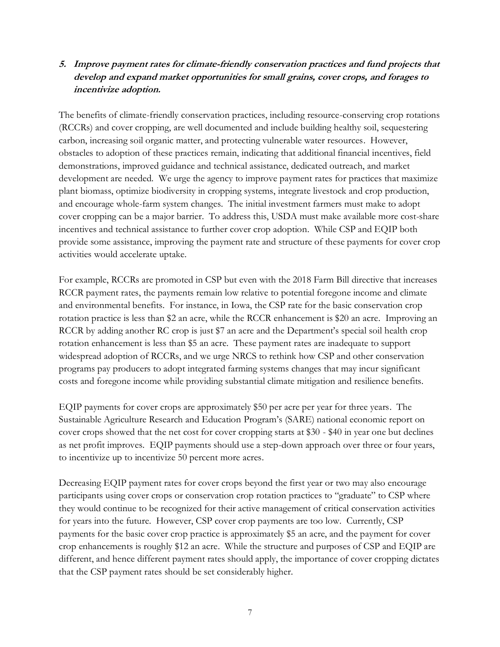### **5. Improve payment rates for climate-friendly conservation practices and fund projects that develop and expand market opportunities for small grains, cover crops, and forages to incentivize adoption.**

The benefits of climate-friendly conservation practices, including resource-conserving crop rotations (RCCRs) and cover cropping, are well documented and include building healthy soil, sequestering carbon, increasing soil organic matter, and protecting vulnerable water resources. However, obstacles to adoption of these practices remain, indicating that additional financial incentives, field demonstrations, improved guidance and technical assistance, dedicated outreach, and market development are needed. We urge the agency to improve payment rates for practices that maximize plant biomass, optimize biodiversity in cropping systems, integrate livestock and crop production, and encourage whole-farm system changes. The initial investment farmers must make to adopt cover cropping can be a major barrier. To address this, USDA must make available more cost-share incentives and technical assistance to further cover crop adoption. While CSP and EQIP both provide some assistance, improving the payment rate and structure of these payments for cover crop activities would accelerate uptake.

For example, RCCRs are promoted in CSP but even with the 2018 Farm Bill directive that increases RCCR payment rates, the payments remain low relative to potential foregone income and climate and environmental benefits. For instance, in Iowa, the CSP rate for the basic conservation crop rotation practice is less than \$2 an acre, while the RCCR enhancement is \$20 an acre. Improving an RCCR by adding another RC crop is just \$7 an acre and the Department's special soil health crop rotation enhancement is less than \$5 an acre. These payment rates are inadequate to support widespread adoption of RCCRs, and we urge NRCS to rethink how CSP and other conservation programs pay producers to adopt integrated farming systems changes that may incur significant costs and foregone income while providing substantial climate mitigation and resilience benefits.

EQIP payments for cover crops are approximately \$50 per acre per year for three years. The Sustainable Agriculture Research and Education Program's (SARE) national economic report on cover crops showed that the net cost for cover cropping starts at \$30 - \$40 in year one but declines as net profit improves. EQIP payments should use a step-down approach over three or four years, to incentivize up to incentivize 50 percent more acres.

Decreasing EQIP payment rates for cover crops beyond the first year or two may also encourage participants using cover crops or conservation crop rotation practices to "graduate" to CSP where they would continue to be recognized for their active management of critical conservation activities for years into the future. However, CSP cover crop payments are too low. Currently, CSP payments for the basic cover crop practice is approximately \$5 an acre, and the payment for cover crop enhancements is roughly \$12 an acre. While the structure and purposes of CSP and EQIP are different, and hence different payment rates should apply, the importance of cover cropping dictates that the CSP payment rates should be set considerably higher.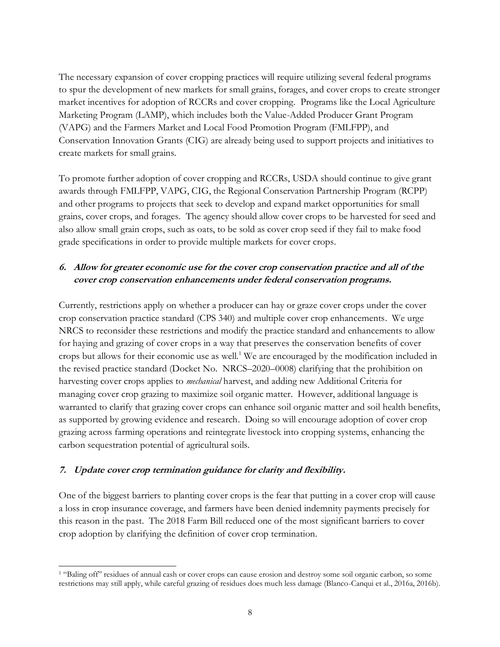The necessary expansion of cover cropping practices will require utilizing several federal programs to spur the development of new markets for small grains, forages, and cover crops to create stronger market incentives for adoption of RCCRs and cover cropping. Programs like the Local Agriculture Marketing Program (LAMP), which includes both the Value-Added Producer Grant Program (VAPG) and the Farmers Market and Local Food Promotion Program (FMLFPP), and Conservation Innovation Grants (CIG) are already being used to support projects and initiatives to create markets for small grains.

To promote further adoption of cover cropping and RCCRs, USDA should continue to give grant awards through FMLFPP, VAPG, CIG, the Regional Conservation Partnership Program (RCPP) and other programs to projects that seek to develop and expand market opportunities for small grains, cover crops, and forages. The agency should allow cover crops to be harvested for seed and also allow small grain crops, such as oats, to be sold as cover crop seed if they fail to make food grade specifications in order to provide multiple markets for cover crops.

### **6. Allow for greater economic use for the cover crop conservation practice and all of the cover crop conservation enhancements under federal conservation programs.**

Currently, restrictions apply on whether a producer can hay or graze cover crops under the cover crop conservation practice standard (CPS 340) and multiple cover crop enhancements. We urge NRCS to reconsider these restrictions and modify the practice standard and enhancements to allow for haying and grazing of cover crops in a way that preserves the conservation benefits of cover crops but allows for their economic use as well.<sup>1</sup> We are encouraged by the modification included in the revised practice standard (Docket No. NRCS–2020–0008) clarifying that the prohibition on harvesting cover crops applies to *mechanical* harvest, and adding new Additional Criteria for managing cover crop grazing to maximize soil organic matter. However, additional language is warranted to clarify that grazing cover crops can enhance soil organic matter and soil health benefits, as supported by growing evidence and research. Doing so will encourage adoption of cover crop grazing across farming operations and reintegrate livestock into cropping systems, enhancing the carbon sequestration potential of agricultural soils.

#### **7. Update cover crop termination guidance for clarity and flexibility.**

One of the biggest barriers to planting cover crops is the fear that putting in a cover crop will cause a loss in crop insurance coverage, and farmers have been denied indemnity payments precisely for this reason in the past. The 2018 Farm Bill reduced one of the most significant barriers to cover crop adoption by clarifying the definition of cover crop termination.

<sup>&</sup>lt;sup>1</sup> "Baling off" residues of annual cash or cover crops can cause erosion and destroy some soil organic carbon, so some restrictions may still apply, while careful grazing of residues does much less damage (Blanco-Canqui et al., 2016a, 2016b).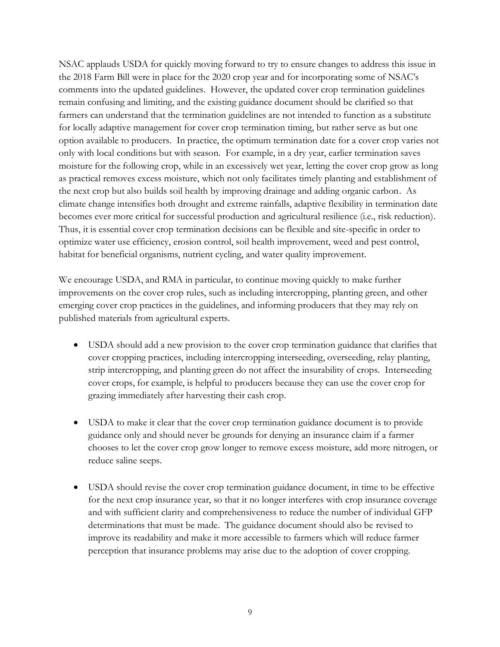NSAC applauds USDA for quickly moving forward to try to ensure changes to address this issue in the 2018 Farm Bill were in place for the 2020 crop year and for incorporating some of NSAC's comments into the updated guidelines. However, the updated cover crop termination guidelines remain confusing and limiting, and the existing guidance document should be clarified so that farmers can understand that the termination guidelines are not intended to function as a substitute for locally adaptive management for cover crop termination timing, but rather serve as but one option available to producers. In practice, the optimum termination date for a cover crop varies not only with local conditions but with season. For example, in a dry year, earlier termination saves moisture for the following crop, while in an excessively wet year, letting the cover crop grow as long as practical removes excess moisture, which not only facilitates timely planting and establishment of the next crop but also builds soil health by improving drainage and adding organic carbon. As climate change intensifies both drought and extreme rainfalls, adaptive flexibility in termination date becomes ever more critical for successful production and agricultural resilience (i.e., risk reduction). Thus, it is essential cover crop termination decisions can be flexible and site-specific in order to optimize water use efficiency, erosion control, soil health improvement, weed and pest control, habitat for beneficial organisms, nutrient cycling, and water quality improvement.

We encourage USDA, and RMA in particular, to continue moving quickly to make further improvements on the cover crop rules, such as including intercropping, planting green, and other emerging cover crop practices in the guidelines, and informing producers that they may rely on published materials from agricultural experts.

- USDA should add a new provision to the cover crop termination guidance that clarifies that cover cropping practices, including intercropping interseeding, overseeding, relay planting, strip intercropping, and planting green do not affect the insurability of crops. Interseeding cover crops, for example, is helpful to producers because they can use the cover crop for grazing immediately after harvesting their cash crop.
- USDA to make it clear that the cover crop termination guidance document is to provide guidance only and should never be grounds for denying an insurance claim if a farmer chooses to let the cover crop grow longer to remove excess moisture, add more nitrogen, or reduce saline seeps.
- USDA should revise the cover crop termination guidance document, in time to be effective for the next crop insurance year, so that it no longer interferes with crop insurance coverage and with sufficient clarity and comprehensiveness to reduce the number of individual GFP determinations that must be made. The guidance document should also be revised to improve its readability and make it more accessible to farmers which will reduce farmer perception that insurance problems may arise due to the adoption of cover cropping.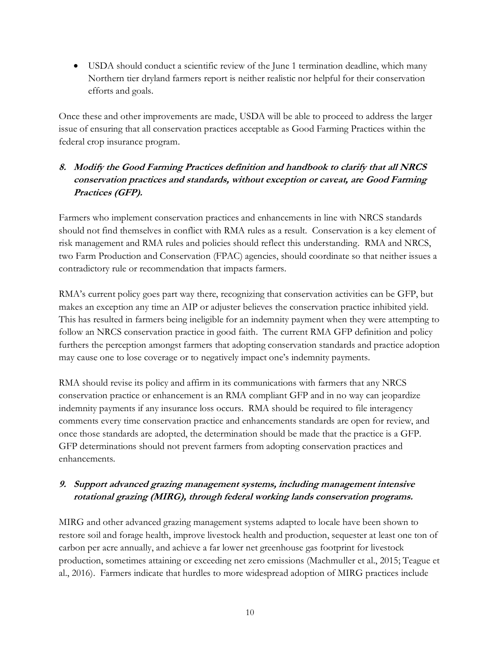• USDA should conduct a scientific review of the June 1 termination deadline, which many Northern tier dryland farmers report is neither realistic nor helpful for their conservation efforts and goals.

Once these and other improvements are made, USDA will be able to proceed to address the larger issue of ensuring that all conservation practices acceptable as Good Farming Practices within the federal crop insurance program.

### **8. Modify the Good Farming Practices definition and handbook to clarify that all NRCS conservation practices and standards, without exception or caveat, are Good Farming Practices (GFP).**

Farmers who implement conservation practices and enhancements in line with NRCS standards should not find themselves in conflict with RMA rules as a result. Conservation is a key element of risk management and RMA rules and policies should reflect this understanding. RMA and NRCS, two Farm Production and Conservation (FPAC) agencies, should coordinate so that neither issues a contradictory rule or recommendation that impacts farmers.

RMA's current policy goes part way there, recognizing that conservation activities can be GFP, but makes an exception any time an AIP or adjuster believes the conservation practice inhibited yield. This has resulted in farmers being ineligible for an indemnity payment when they were attempting to follow an NRCS conservation practice in good faith. The current RMA GFP definition and policy furthers the perception amongst farmers that adopting conservation standards and practice adoption may cause one to lose coverage or to negatively impact one's indemnity payments.

RMA should revise its policy and affirm in its communications with farmers that any NRCS conservation practice or enhancement is an RMA compliant GFP and in no way can jeopardize indemnity payments if any insurance loss occurs. RMA should be required to file interagency comments every time conservation practice and enhancements standards are open for review, and once those standards are adopted, the determination should be made that the practice is a GFP. GFP determinations should not prevent farmers from adopting conservation practices and enhancements.

### **9. Support advanced grazing management systems, including management intensive rotational grazing (MIRG), through federal working lands conservation programs.**

MIRG and other advanced grazing management systems adapted to locale have been shown to restore soil and forage health, improve livestock health and production, sequester at least one ton of carbon per acre annually, and achieve a far lower net greenhouse gas footprint for livestock production, sometimes attaining or exceeding net zero emissions (Machmuller et al., 2015; Teague et al., 2016). Farmers indicate that hurdles to more widespread adoption of MIRG practices include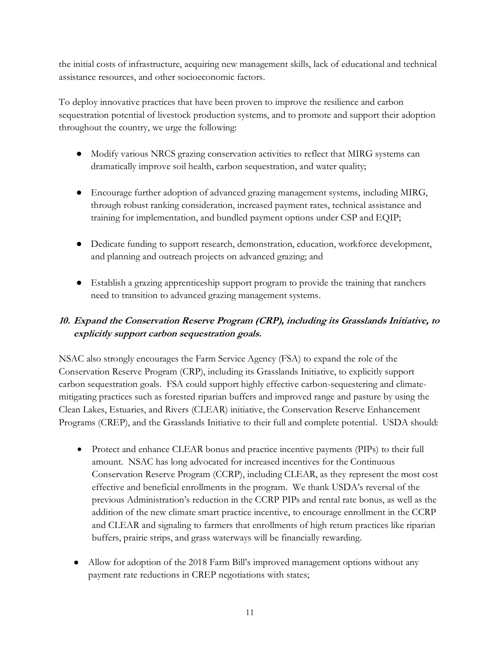the initial costs of infrastructure, acquiring new management skills, lack of educational and technical assistance resources, and other socioeconomic factors.

To deploy innovative practices that have been proven to improve the resilience and carbon sequestration potential of livestock production systems, and to promote and support their adoption throughout the country, we urge the following:

- Modify various NRCS grazing conservation activities to reflect that MIRG systems can dramatically improve soil health, carbon sequestration, and water quality;
- Encourage further adoption of advanced grazing management systems, including MIRG, through robust ranking consideration, increased payment rates, technical assistance and training for implementation, and bundled payment options under CSP and EQIP;
- Dedicate funding to support research, demonstration, education, workforce development, and planning and outreach projects on advanced grazing; and
- Establish a grazing apprenticeship support program to provide the training that ranchers need to transition to advanced grazing management systems.

# **10. Expand the Conservation Reserve Program (CRP), including its Grasslands Initiative, to explicitly support carbon sequestration goals.**

NSAC also strongly encourages the Farm Service Agency (FSA) to expand the role of the Conservation Reserve Program (CRP), including its Grasslands Initiative, to explicitly support carbon sequestration goals. FSA could support highly effective carbon-sequestering and climatemitigating practices such as forested riparian buffers and improved range and pasture by using the Clean Lakes, Estuaries, and Rivers (CLEAR) initiative, the Conservation Reserve Enhancement Programs (CREP), and the Grasslands Initiative to their full and complete potential. USDA should:

- Protect and enhance CLEAR bonus and practice incentive payments (PIPs) to their full amount. NSAC has long advocated for increased incentives for the Continuous Conservation Reserve Program (CCRP), including CLEAR, as they represent the most cost effective and beneficial enrollments in the program. We thank USDA's reversal of the previous Administration's reduction in the CCRP PIPs and rental rate bonus, as well as the addition of the new climate smart practice incentive, to encourage enrollment in the CCRP and CLEAR and signaling to farmers that enrollments of high return practices like riparian buffers, prairie strips, and grass waterways will be financially rewarding.
- Allow for adoption of the 2018 Farm Bill's improved management options without any payment rate reductions in CREP negotiations with states;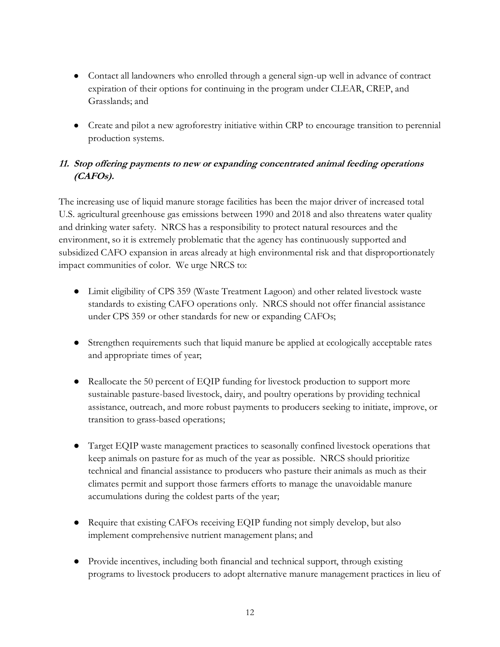- Contact all landowners who enrolled through a general sign-up well in advance of contract expiration of their options for continuing in the program under CLEAR, CREP, and Grasslands; and
- Create and pilot a new agroforestry initiative within CRP to encourage transition to perennial production systems.

### **11. Stop offering payments to new or expanding concentrated animal feeding operations (CAFOs).**

The increasing use of liquid manure storage facilities has been the major driver of increased total U.S. agricultural greenhouse gas emissions between 1990 and 2018 and also threatens water quality and drinking water safety. NRCS has a responsibility to protect natural resources and the environment, so it is extremely problematic that the agency has continuously supported and subsidized CAFO expansion in areas already at high environmental risk and that disproportionately impact communities of color. We urge NRCS to:

- Limit eligibility of CPS 359 (Waste Treatment Lagoon) and other related livestock waste standards to existing CAFO operations only. NRCS should not offer financial assistance under CPS 359 or other standards for new or expanding CAFOs;
- Strengthen requirements such that liquid manure be applied at ecologically acceptable rates and appropriate times of year;
- Reallocate the 50 percent of EQIP funding for livestock production to support more sustainable pasture-based livestock, dairy, and poultry operations by providing technical assistance, outreach, and more robust payments to producers seeking to initiate, improve, or transition to grass-based operations;
- Target EQIP waste management practices to seasonally confined livestock operations that keep animals on pasture for as much of the year as possible. NRCS should prioritize technical and financial assistance to producers who pasture their animals as much as their climates permit and support those farmers efforts to manage the unavoidable manure accumulations during the coldest parts of the year;
- Require that existing CAFOs receiving EQIP funding not simply develop, but also implement comprehensive nutrient management plans; and
- Provide incentives, including both financial and technical support, through existing programs to livestock producers to adopt alternative manure management practices in lieu of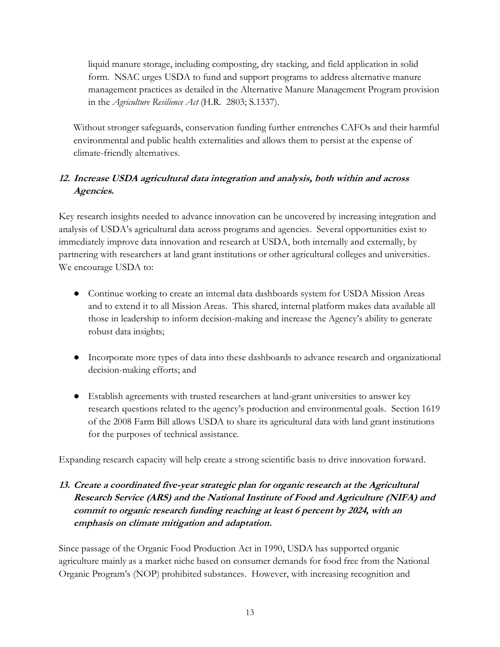liquid manure storage, including composting, dry stacking, and field application in solid form. NSAC urges USDA to fund and support programs to address alternative manure management practices as detailed in the Alternative Manure Management Program provision in the *Agriculture Resilience Act* (H.R. 2803; S.1337).

Without stronger safeguards, conservation funding further entrenches CAFOs and their harmful environmental and public health externalities and allows them to persist at the expense of climate-friendly alternatives.

## **12. Increase USDA agricultural data integration and analysis, both within and across Agencies.**

Key research insights needed to advance innovation can be uncovered by increasing integration and analysis of USDA's agricultural data across programs and agencies. Several opportunities exist to immediately improve data innovation and research at USDA, both internally and externally, by partnering with researchers at land grant institutions or other agricultural colleges and universities. We encourage USDA to:

- Continue working to create an internal data dashboards system for USDA Mission Areas and to extend it to all Mission Areas. This shared, internal platform makes data available all those in leadership to inform decision-making and increase the Agency's ability to generate robust data insights;
- Incorporate more types of data into these dashboards to advance research and organizational decision-making efforts; and
- Establish agreements with trusted researchers at land-grant universities to answer key research questions related to the agency's production and environmental goals. Section 1619 of the 2008 Farm Bill allows USDA to share its agricultural data with land grant institutions for the purposes of technical assistance.

Expanding research capacity will help create a strong scientific basis to drive innovation forward.

## **13. Create a coordinated five-year strategic plan for organic research at the Agricultural Research Service (ARS) and the National Institute of Food and Agriculture (NIFA) and commit to organic research funding reaching at least 6 percent by 2024, with an emphasis on climate mitigation and adaptation.**

Since passage of the Organic Food Production Act in 1990, USDA has supported organic agriculture mainly as a market niche based on consumer demands for food free from the National Organic Program's (NOP) prohibited substances. However, with increasing recognition and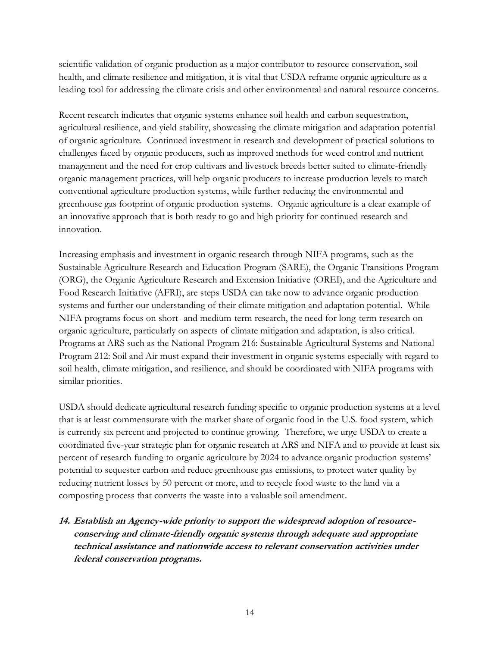scientific validation of organic production as a major contributor to resource conservation, soil health, and climate resilience and mitigation, it is vital that USDA reframe organic agriculture as a leading tool for addressing the climate crisis and other environmental and natural resource concerns.

Recent research indicates that organic systems enhance soil health and carbon sequestration, agricultural resilience, and yield stability, showcasing the climate mitigation and adaptation potential of organic agriculture. Continued investment in research and development of practical solutions to challenges faced by organic producers, such as improved methods for weed control and nutrient management and the need for crop cultivars and livestock breeds better suited to climate-friendly organic management practices, will help organic producers to increase production levels to match conventional agriculture production systems, while further reducing the environmental and greenhouse gas footprint of organic production systems. Organic agriculture is a clear example of an innovative approach that is both ready to go and high priority for continued research and innovation.

Increasing emphasis and investment in organic research through NIFA programs, such as the Sustainable Agriculture Research and Education Program (SARE), the Organic Transitions Program (ORG), the Organic Agriculture Research and Extension Initiative (OREI), and the Agriculture and Food Research Initiative (AFRI), are steps USDA can take now to advance organic production systems and further our understanding of their climate mitigation and adaptation potential. While NIFA programs focus on short- and medium-term research, the need for long-term research on organic agriculture, particularly on aspects of climate mitigation and adaptation, is also critical. Programs at ARS such as the National Program 216: Sustainable Agricultural Systems and National Program 212: Soil and Air must expand their investment in organic systems especially with regard to soil health, climate mitigation, and resilience, and should be coordinated with NIFA programs with similar priorities.

USDA should dedicate agricultural research funding specific to organic production systems at a level that is at least commensurate with the market share of organic food in the U.S. food system, which is currently six percent and projected to continue growing. Therefore, we urge USDA to create a coordinated five-year strategic plan for organic research at ARS and NIFA and to provide at least six percent of research funding to organic agriculture by 2024 to advance organic production systems' potential to sequester carbon and reduce greenhouse gas emissions, to protect water quality by reducing nutrient losses by 50 percent or more, and to recycle food waste to the land via a composting process that converts the waste into a valuable soil amendment.

**14. Establish an Agency-wide priority to support the widespread adoption of resourceconserving and climate-friendly organic systems through adequate and appropriate technical assistance and nationwide access to relevant conservation activities under federal conservation programs.**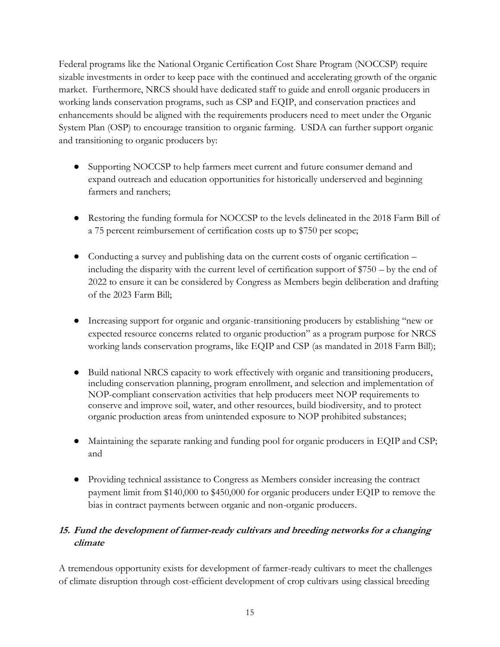Federal programs like the National Organic Certification Cost Share Program (NOCCSP) require sizable investments in order to keep pace with the continued and accelerating growth of the organic market. Furthermore, NRCS should have dedicated staff to guide and enroll organic producers in working lands conservation programs, such as CSP and EQIP, and conservation practices and enhancements should be aligned with the requirements producers need to meet under the Organic System Plan (OSP) to encourage transition to organic farming. USDA can further support organic and transitioning to organic producers by:

- Supporting NOCCSP to help farmers meet current and future consumer demand and expand outreach and education opportunities for historically underserved and beginning farmers and ranchers;
- Restoring the funding formula for NOCCSP to the levels delineated in the 2018 Farm Bill of a 75 percent reimbursement of certification costs up to \$750 per scope;
- Conducting a survey and publishing data on the current costs of organic certification including the disparity with the current level of certification support of \$750 – by the end of 2022 to ensure it can be considered by Congress as Members begin deliberation and drafting of the 2023 Farm Bill;
- Increasing support for organic and organic-transitioning producers by establishing "new or expected resource concerns related to organic production" as a program purpose for NRCS working lands conservation programs, like EQIP and CSP (as mandated in 2018 Farm Bill);
- Build national NRCS capacity to work effectively with organic and transitioning producers, including conservation planning, program enrollment, and selection and implementation of NOP-compliant conservation activities that help producers meet NOP requirements to conserve and improve soil, water, and other resources, build biodiversity, and to protect organic production areas from unintended exposure to NOP prohibited substances;
- Maintaining the separate ranking and funding pool for organic producers in EQIP and CSP; and
- Providing technical assistance to Congress as Members consider increasing the contract payment limit from \$140,000 to \$450,000 for organic producers under EQIP to remove the bias in contract payments between organic and non-organic producers.

# **15. Fund the development of farmer-ready cultivars and breeding networks for a changing climate**

A tremendous opportunity exists for development of farmer-ready cultivars to meet the challenges of climate disruption through cost-efficient development of crop cultivars using classical breeding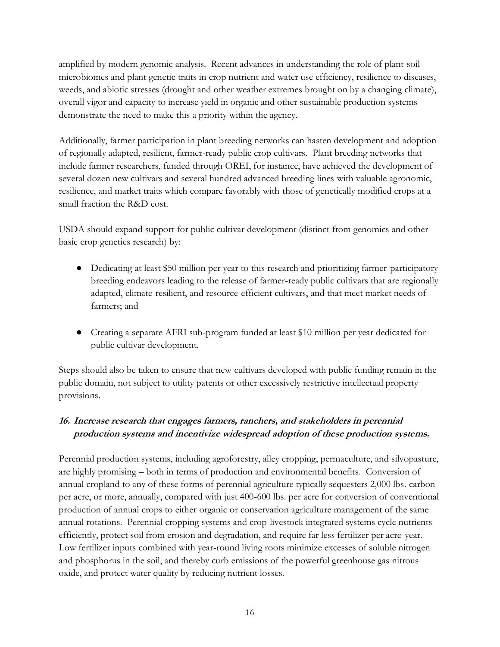amplified by modern genomic analysis. Recent advances in understanding the role of plant-soil microbiomes and plant genetic traits in crop nutrient and water use efficiency, resilience to diseases, weeds, and abiotic stresses (drought and other weather extremes brought on by a changing climate), overall vigor and capacity to increase yield in organic and other sustainable production systems demonstrate the need to make this a priority within the agency.

Additionally, farmer participation in plant breeding networks can hasten development and adoption of regionally adapted, resilient, farmer-ready public crop cultivars. Plant breeding networks that include farmer researchers, funded through OREI, for instance, have achieved the development of several dozen new cultivars and several hundred advanced breeding lines with valuable agronomic, resilience, and market traits which compare favorably with those of genetically modified crops at a small fraction the R&D cost.

USDA should expand support for public cultivar development (distinct from genomics and other basic crop genetics research) by:

- Dedicating at least \$50 million per year to this research and prioritizing farmer-participatory breeding endeavors leading to the release of farmer-ready public cultivars that are regionally adapted, climate-resilient, and resource-efficient cultivars, and that meet market needs of farmers; and
- Creating a separate AFRI sub-program funded at least \$10 million per year dedicated for public cultivar development.

Steps should also be taken to ensure that new cultivars developed with public funding remain in the public domain, not subject to utility patents or other excessively restrictive intellectual property provisions.

# **16. Increase research that engages farmers, ranchers, and stakeholders in perennial production systems and incentivize widespread adoption of these production systems.**

Perennial production systems, including agroforestry, alley cropping, permaculture, and silvopasture, are highly promising – both in terms of production and environmental benefits. Conversion of annual cropland to any of these forms of perennial agriculture typically sequesters 2,000 lbs. carbon per acre, or more, annually, compared with just 400-600 lbs. per acre for conversion of conventional production of annual crops to either organic or conservation agriculture management of the same annual rotations. Perennial cropping systems and crop-livestock integrated systems cycle nutrients efficiently, protect soil from erosion and degradation, and require far less fertilizer per acre-year. Low fertilizer inputs combined with year-round living roots minimize excesses of soluble nitrogen and phosphorus in the soil, and thereby curb emissions of the powerful greenhouse gas nitrous oxide, and protect water quality by reducing nutrient losses.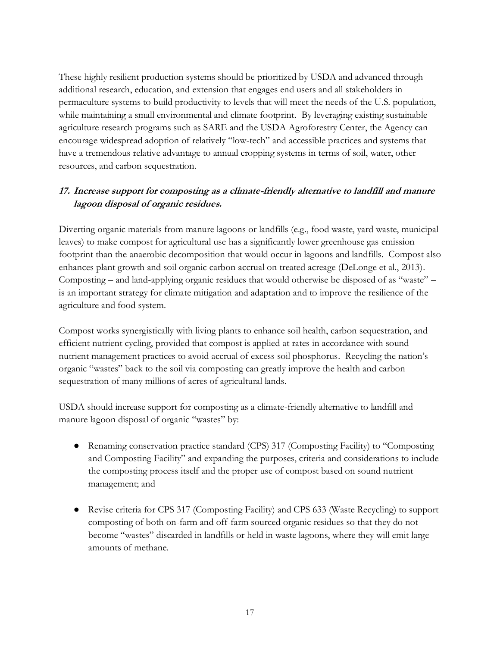These highly resilient production systems should be prioritized by USDA and advanced through additional research, education, and extension that engages end users and all stakeholders in permaculture systems to build productivity to levels that will meet the needs of the U.S. population, while maintaining a small environmental and climate footprint. By leveraging existing sustainable agriculture research programs such as SARE and the USDA Agroforestry Center, the Agency can encourage widespread adoption of relatively "low-tech" and accessible practices and systems that have a tremendous relative advantage to annual cropping systems in terms of soil, water, other resources, and carbon sequestration.

### **17. Increase support for composting as a climate-friendly alternative to landfill and manure lagoon disposal of organic residues.**

Diverting organic materials from manure lagoons or landfills (e.g., food waste, yard waste, municipal leaves) to make compost for agricultural use has a significantly lower greenhouse gas emission footprint than the anaerobic decomposition that would occur in lagoons and landfills. Compost also enhances plant growth and soil organic carbon accrual on treated acreage (DeLonge et al., 2013). Composting – and land-applying organic residues that would otherwise be disposed of as "waste" – is an important strategy for climate mitigation and adaptation and to improve the resilience of the agriculture and food system.

Compost works synergistically with living plants to enhance soil health, carbon sequestration, and efficient nutrient cycling, provided that compost is applied at rates in accordance with sound nutrient management practices to avoid accrual of excess soil phosphorus. Recycling the nation's organic "wastes" back to the soil via composting can greatly improve the health and carbon sequestration of many millions of acres of agricultural lands.

USDA should increase support for composting as a climate-friendly alternative to landfill and manure lagoon disposal of organic "wastes" by:

- Renaming conservation practice standard (CPS) 317 (Composting Facility) to "Composting and Composting Facility" and expanding the purposes, criteria and considerations to include the composting process itself and the proper use of compost based on sound nutrient management; and
- Revise criteria for CPS 317 (Composting Facility) and CPS 633 (Waste Recycling) to support composting of both on-farm and off-farm sourced organic residues so that they do not become "wastes" discarded in landfills or held in waste lagoons, where they will emit large amounts of methane.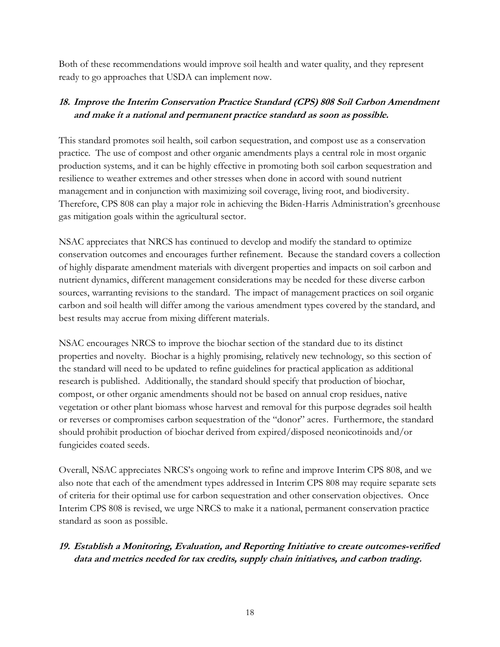Both of these recommendations would improve soil health and water quality, and they represent ready to go approaches that USDA can implement now.

### **18. Improve the Interim Conservation Practice Standard (CPS) 808 Soil Carbon Amendment and make it a national and permanent practice standard as soon as possible.**

This standard promotes soil health, soil carbon sequestration, and compost use as a conservation practice. The use of compost and other organic amendments plays a central role in most organic production systems, and it can be highly effective in promoting both soil carbon sequestration and resilience to weather extremes and other stresses when done in accord with sound nutrient management and in conjunction with maximizing soil coverage, living root, and biodiversity. Therefore, CPS 808 can play a major role in achieving the Biden-Harris Administration's greenhouse gas mitigation goals within the agricultural sector.

NSAC appreciates that NRCS has continued to develop and modify the standard to optimize conservation outcomes and encourages further refinement. Because the standard covers a collection of highly disparate amendment materials with divergent properties and impacts on soil carbon and nutrient dynamics, different management considerations may be needed for these diverse carbon sources, warranting revisions to the standard. The impact of management practices on soil organic carbon and soil health will differ among the various amendment types covered by the standard, and best results may accrue from mixing different materials.

NSAC encourages NRCS to improve the biochar section of the standard due to its distinct properties and novelty. Biochar is a highly promising, relatively new technology, so this section of the standard will need to be updated to refine guidelines for practical application as additional research is published. Additionally, the standard should specify that production of biochar, compost, or other organic amendments should not be based on annual crop residues, native vegetation or other plant biomass whose harvest and removal for this purpose degrades soil health or reverses or compromises carbon sequestration of the "donor" acres. Furthermore, the standard should prohibit production of biochar derived from expired/disposed neonicotinoids and/or fungicides coated seeds.

Overall, NSAC appreciates NRCS's ongoing work to refine and improve Interim CPS 808, and we also note that each of the amendment types addressed in Interim CPS 808 may require separate sets of criteria for their optimal use for carbon sequestration and other conservation objectives. Once Interim CPS 808 is revised, we urge NRCS to make it a national, permanent conservation practice standard as soon as possible.

### **19. Establish a Monitoring, Evaluation, and Reporting Initiative to create outcomes-verified data and metrics needed for tax credits, supply chain initiatives, and carbon trading.**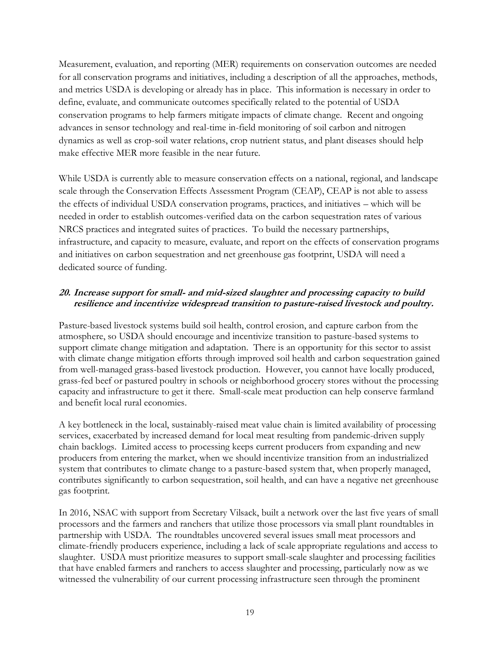Measurement, evaluation, and reporting (MER) requirements on conservation outcomes are needed for all conservation programs and initiatives, including a description of all the approaches, methods, and metrics USDA is developing or already has in place. This information is necessary in order to define, evaluate, and communicate outcomes specifically related to the potential of USDA conservation programs to help farmers mitigate impacts of climate change. Recent and ongoing advances in sensor technology and real-time in-field monitoring of soil carbon and nitrogen dynamics as well as crop-soil water relations, crop nutrient status, and plant diseases should help make effective MER more feasible in the near future.

While USDA is currently able to measure conservation effects on a national, regional, and landscape scale through the Conservation Effects Assessment Program (CEAP), CEAP is not able to assess the effects of individual USDA conservation programs, practices, and initiatives – which will be needed in order to establish outcomes-verified data on the carbon sequestration rates of various NRCS practices and integrated suites of practices. To build the necessary partnerships, infrastructure, and capacity to measure, evaluate, and report on the effects of conservation programs and initiatives on carbon sequestration and net greenhouse gas footprint, USDA will need a dedicated source of funding.

#### **20. Increase support for small- and mid-sized slaughter and processing capacity to build resilience and incentivize widespread transition to pasture-raised livestock and poultry.**

Pasture-based livestock systems build soil health, control erosion, and capture carbon from the atmosphere, so USDA should encourage and incentivize transition to pasture-based systems to support climate change mitigation and adaptation. There is an opportunity for this sector to assist with climate change mitigation efforts through improved soil health and carbon sequestration gained from well-managed grass-based livestock production. However, you cannot have locally produced, grass-fed beef or pastured poultry in schools or neighborhood grocery stores without the processing capacity and infrastructure to get it there. Small-scale meat production can help conserve farmland and benefit local rural economies.

A key bottleneck in the local, sustainably-raised meat value chain is limited availability of processing services, exacerbated by increased demand for local meat resulting from pandemic-driven supply chain backlogs. Limited access to processing keeps current producers from expanding and new producers from entering the market, when we should incentivize transition from an industrialized system that contributes to climate change to a pasture-based system that, when properly managed, contributes significantly to carbon sequestration, soil health, and can have a negative net greenhouse gas footprint.

In 2016, NSAC with support from Secretary Vilsack, built a network over the last five years of small processors and the farmers and ranchers that utilize those processors via small plant roundtables in partnership with USDA. The roundtables uncovered several issues small meat processors and climate-friendly producers experience, including a lack of scale appropriate regulations and access to slaughter. USDA must prioritize measures to support small-scale slaughter and processing facilities that have enabled farmers and ranchers to access slaughter and processing, particularly now as we witnessed the vulnerability of our current processing infrastructure seen through the prominent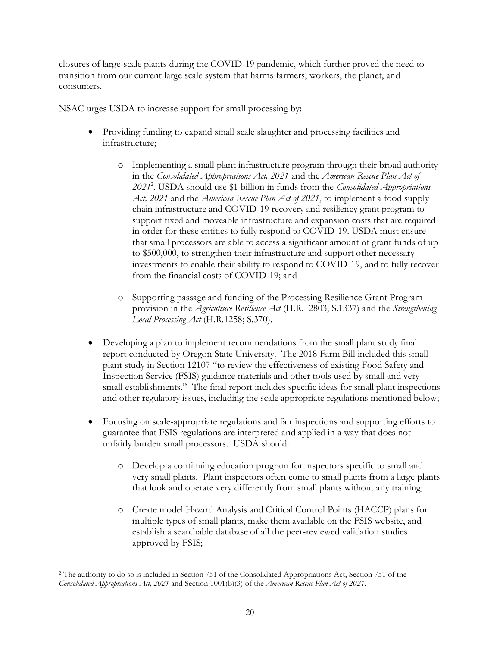closures of large-scale plants during the COVID-19 pandemic, which further proved the need to transition from our current large scale system that harms farmers, workers, the planet, and consumers.

NSAC urges USDA to increase support for small processing by:

- Providing funding to expand small scale slaughter and processing facilities and infrastructure;
	- o Implementing a small plant infrastructure program through their broad authority in the *Consolidated Appropriations Act, 2021* and the *American Rescue Plan Act of 2021*<sup>2</sup> . USDA should use \$1 billion in funds from the *Consolidated Appropriations Act, 2021* and the *American Rescue Plan Act of 2021*, to implement a food supply chain infrastructure and COVID-19 recovery and resiliency grant program to support fixed and moveable infrastructure and expansion costs that are required in order for these entities to fully respond to COVID-19. USDA must ensure that small processors are able to access a significant amount of grant funds of up to \$500,000, to strengthen their infrastructure and support other necessary investments to enable their ability to respond to COVID-19, and to fully recover from the financial costs of COVID-19; and
	- o Supporting passage and funding of the Processing Resilience Grant Program provision in the *Agriculture Resilience Act* (H.R. 2803; S.1337) and the *Strengthening Local Processing Act* (H.R.1258; S.370).
- Developing a plan to implement recommendations from the small plant study final report conducted by Oregon State University. The 2018 Farm Bill included this small plant study in Section 12107 "to review the effectiveness of existing Food Safety and Inspection Service (FSIS) guidance materials and other tools used by small and very small establishments." The final report includes specific ideas for small plant inspections and other regulatory issues, including the scale appropriate regulations mentioned below;
- Focusing on scale-appropriate regulations and fair inspections and supporting efforts to guarantee that FSIS regulations are interpreted and applied in a way that does not unfairly burden small processors. USDA should:
	- o Develop a continuing education program for inspectors specific to small and very small plants. Plant inspectors often come to small plants from a large plants that look and operate very differently from small plants without any training;
	- o Create model Hazard Analysis and Critical Control Points (HACCP) plans for multiple types of small plants, make them available on the FSIS website, and establish a searchable database of all the peer-reviewed validation studies approved by FSIS;

<sup>2</sup> The authority to do so is included in Section 751 of the Consolidated Appropriations Act, Section 751 of the *Consolidated Appropriations Act, 2021* and Section 1001(b)(3) of the *American Rescue Plan Act of 2021*.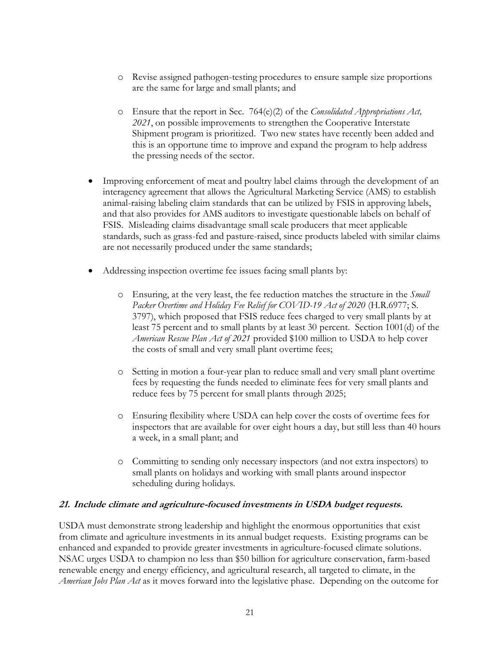- o Revise assigned pathogen-testing procedures to ensure sample size proportions are the same for large and small plants; and
- o Ensure that the report in Sec. 764(e)(2) of the *Consolidated Appropriations Act, 2021*, on possible improvements to strengthen the Cooperative Interstate Shipment program is prioritized. Two new states have recently been added and this is an opportune time to improve and expand the program to help address the pressing needs of the sector.
- Improving enforcement of meat and poultry label claims through the development of an interagency agreement that allows the Agricultural Marketing Service (AMS) to establish animal-raising labeling claim standards that can be utilized by FSIS in approving labels, and that also provides for AMS auditors to investigate questionable labels on behalf of FSIS. Misleading claims disadvantage small scale producers that meet applicable standards, such as grass-fed and pasture-raised, since products labeled with similar claims are not necessarily produced under the same standards;
- Addressing inspection overtime fee issues facing small plants by:
	- o Ensuring, at the very least, the fee reduction matches the structure in the *Small Packer Overtime and Holiday Fee Relief for COVID-19 Act of 2020* (H.R.6977; S. 3797), which proposed that FSIS reduce fees charged to very small plants by at least 75 percent and to small plants by at least 30 percent. Section 1001(d) of the *American Rescue Plan Act of 2021* provided \$100 million to USDA to help cover the costs of small and very small plant overtime fees;
	- o Setting in motion a four-year plan to reduce small and very small plant overtime fees by requesting the funds needed to eliminate fees for very small plants and reduce fees by 75 percent for small plants through 2025;
	- o Ensuring flexibility where USDA can help cover the costs of overtime fees for inspectors that are available for over eight hours a day, but still less than 40 hours a week, in a small plant; and
	- o Committing to sending only necessary inspectors (and not extra inspectors) to small plants on holidays and working with small plants around inspector scheduling during holidays.

#### **21. Include climate and agriculture-focused investments in USDA budget requests.**

USDA must demonstrate strong leadership and highlight the enormous opportunities that exist from climate and agriculture investments in its annual budget requests. Existing programs can be enhanced and expanded to provide greater investments in agriculture-focused climate solutions. NSAC urges USDA to champion no less than \$50 billion for agriculture conservation, farm-based renewable energy and energy efficiency, and agricultural research, all targeted to climate, in the *American Jobs Plan Act* as it moves forward into the legislative phase. Depending on the outcome for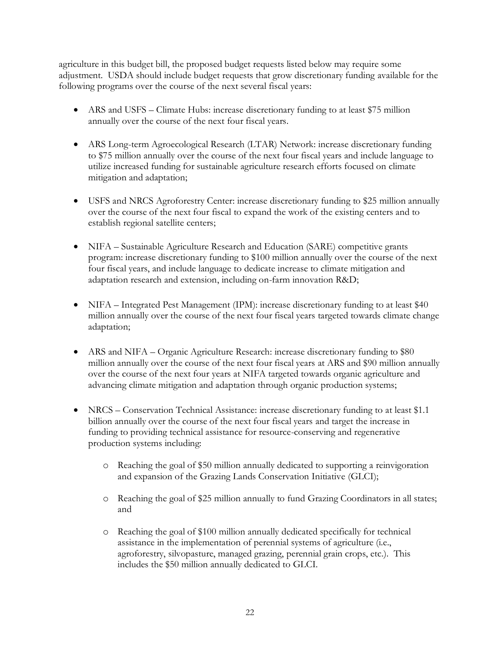agriculture in this budget bill, the proposed budget requests listed below may require some adjustment. USDA should include budget requests that grow discretionary funding available for the following programs over the course of the next several fiscal years:

- ARS and USFS Climate Hubs: increase discretionary funding to at least \$75 million annually over the course of the next four fiscal years.
- ARS Long-term Agroecological Research (LTAR) Network: increase discretionary funding to \$75 million annually over the course of the next four fiscal years and include language to utilize increased funding for sustainable agriculture research efforts focused on climate mitigation and adaptation;
- USFS and NRCS Agroforestry Center: increase discretionary funding to \$25 million annually over the course of the next four fiscal to expand the work of the existing centers and to establish regional satellite centers;
- NIFA Sustainable Agriculture Research and Education (SARE) competitive grants program: increase discretionary funding to \$100 million annually over the course of the next four fiscal years, and include language to dedicate increase to climate mitigation and adaptation research and extension, including on-farm innovation R&D;
- NIFA Integrated Pest Management (IPM): increase discretionary funding to at least \$40 million annually over the course of the next four fiscal years targeted towards climate change adaptation;
- ARS and NIFA Organic Agriculture Research: increase discretionary funding to \$80 million annually over the course of the next four fiscal years at ARS and \$90 million annually over the course of the next four years at NIFA targeted towards organic agriculture and advancing climate mitigation and adaptation through organic production systems;
- NRCS Conservation Technical Assistance: increase discretionary funding to at least \$1.1 billion annually over the course of the next four fiscal years and target the increase in funding to providing technical assistance for resource-conserving and regenerative production systems including:
	- o Reaching the goal of \$50 million annually dedicated to supporting a reinvigoration and expansion of the Grazing Lands Conservation Initiative (GLCI);
	- o Reaching the goal of \$25 million annually to fund Grazing Coordinators in all states; and
	- o Reaching the goal of \$100 million annually dedicated specifically for technical assistance in the implementation of perennial systems of agriculture (i.e., agroforestry, silvopasture, managed grazing, perennial grain crops, etc.). This includes the \$50 million annually dedicated to GLCI.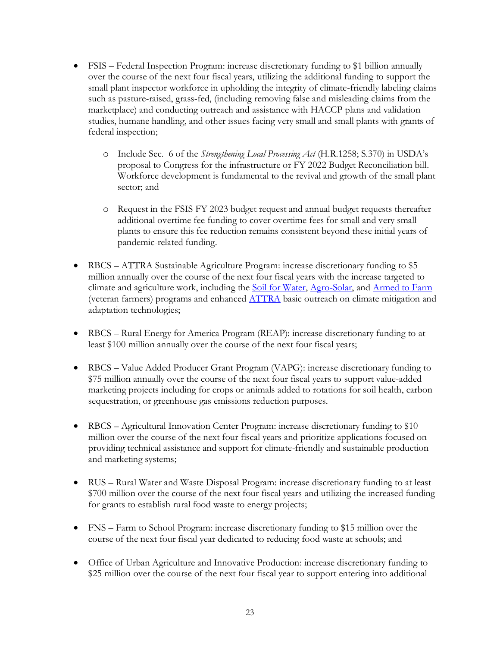- FSIS Federal Inspection Program: increase discretionary funding to \$1 billion annually over the course of the next four fiscal years, utilizing the additional funding to support the small plant inspector workforce in upholding the integrity of climate-friendly labeling claims such as pasture-raised, grass-fed, (including removing false and misleading claims from the marketplace) and conducting outreach and assistance with HACCP plans and validation studies, humane handling, and other issues facing very small and small plants with grants of federal inspection;
	- o Include Sec. 6 of the *Strengthening Local Processing Act* (H.R.1258; S.370) in USDA's proposal to Congress for the infrastructure or FY 2022 Budget Reconciliation bill. Workforce development is fundamental to the revival and growth of the small plant sector; and
	- o Request in the FSIS FY 2023 budget request and annual budget requests thereafter additional overtime fee funding to cover overtime fees for small and very small plants to ensure this fee reduction remains consistent beyond these initial years of pandemic-related funding.
- RBCS ATTRA Sustainable Agriculture Program: increase discretionary funding to \$5 million annually over the course of the next four fiscal years with the increase targeted to climate and agriculture work, including the [Soil for Water,](https://soilforwater.org/) [Agro-Solar,](https://www.ncat.org/project-promotes-solar-energy-for-ag-land/) and [Armed to Farm](https://www.ncat.org/armedtofarm/) (veteran farmers) programs and enhanced [ATTRA](https://attra.ncat.org/) basic outreach on climate mitigation and adaptation technologies;
- RBCS Rural Energy for America Program (REAP): increase discretionary funding to at least \$100 million annually over the course of the next four fiscal years;
- RBCS Value Added Producer Grant Program (VAPG): increase discretionary funding to \$75 million annually over the course of the next four fiscal years to support value-added marketing projects including for crops or animals added to rotations for soil health, carbon sequestration, or greenhouse gas emissions reduction purposes.
- RBCS Agricultural Innovation Center Program: increase discretionary funding to \$10 million over the course of the next four fiscal years and prioritize applications focused on providing technical assistance and support for climate-friendly and sustainable production and marketing systems;
- RUS Rural Water and Waste Disposal Program: increase discretionary funding to at least \$700 million over the course of the next four fiscal years and utilizing the increased funding for grants to establish rural food waste to energy projects;
- FNS Farm to School Program: increase discretionary funding to \$15 million over the course of the next four fiscal year dedicated to reducing food waste at schools; and
- Office of Urban Agriculture and Innovative Production: increase discretionary funding to \$25 million over the course of the next four fiscal year to support entering into additional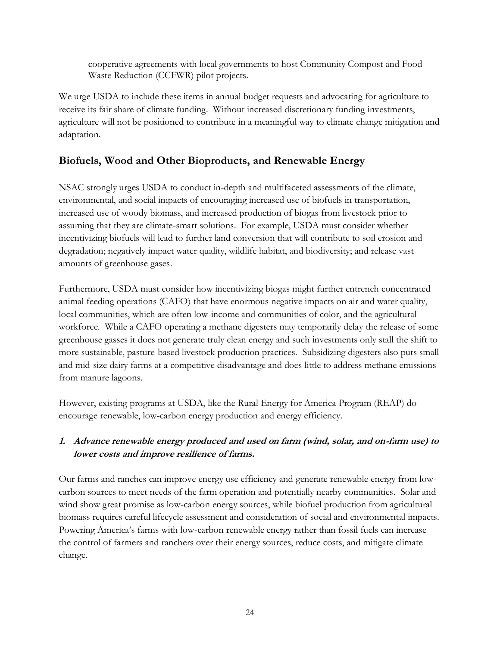cooperative agreements with local governments to host Community Compost and Food Waste Reduction (CCFWR) pilot projects.

We urge USDA to include these items in annual budget requests and advocating for agriculture to receive its fair share of climate funding. Without increased discretionary funding investments, agriculture will not be positioned to contribute in a meaningful way to climate change mitigation and adaptation.

# **Biofuels, Wood and Other Bioproducts, and Renewable Energy**

NSAC strongly urges USDA to conduct in-depth and multifaceted assessments of the climate, environmental, and social impacts of encouraging increased use of biofuels in transportation, increased use of woody biomass, and increased production of biogas from livestock prior to assuming that they are climate-smart solutions. For example, USDA must consider whether incentivizing biofuels will lead to further land conversion that will contribute to soil erosion and degradation; negatively impact water quality, wildlife habitat, and biodiversity; and release vast amounts of greenhouse gases.

Furthermore, USDA must consider how incentivizing biogas might further entrench concentrated animal feeding operations (CAFO) that have enormous negative impacts on air and water quality, local communities, which are often low-income and communities of color, and the agricultural workforce. While a CAFO operating a methane digesters may temporarily delay the release of some greenhouse gasses it does not generate truly clean energy and such investments only stall the shift to more sustainable, pasture-based livestock production practices. Subsidizing digesters also puts small and mid-size dairy farms at a competitive disadvantage and does little to address methane emissions from manure lagoons.

However, existing programs at USDA, like the Rural Energy for America Program (REAP) do encourage renewable, low-carbon energy production and energy efficiency.

## **1. Advance renewable energy produced and used on farm (wind, solar, and on-farm use) to lower costs and improve resilience of farms.**

Our farms and ranches can improve energy use efficiency and generate renewable energy from lowcarbon sources to meet needs of the farm operation and potentially nearby communities. Solar and wind show great promise as low-carbon energy sources, while biofuel production from agricultural biomass requires careful lifecycle assessment and consideration of social and environmental impacts. Powering America's farms with low-carbon renewable energy rather than fossil fuels can increase the control of farmers and ranchers over their energy sources, reduce costs, and mitigate climate change.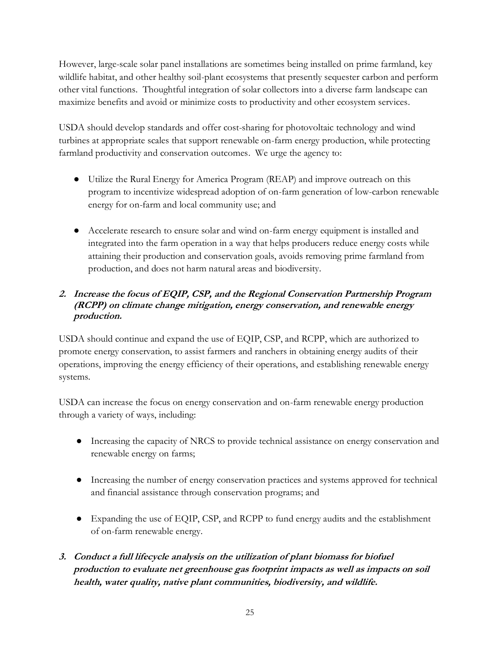However, large-scale solar panel installations are sometimes being installed on prime farmland, key wildlife habitat, and other healthy soil-plant ecosystems that presently sequester carbon and perform other vital functions. Thoughtful integration of solar collectors into a diverse farm landscape can maximize benefits and avoid or minimize costs to productivity and other ecosystem services.

USDA should develop standards and offer cost-sharing for photovoltaic technology and wind turbines at appropriate scales that support renewable on-farm energy production, while protecting farmland productivity and conservation outcomes. We urge the agency to:

- Utilize the Rural Energy for America Program (REAP) and improve outreach on this program to incentivize widespread adoption of on-farm generation of low-carbon renewable energy for on-farm and local community use; and
- Accelerate research to ensure solar and wind on-farm energy equipment is installed and integrated into the farm operation in a way that helps producers reduce energy costs while attaining their production and conservation goals, avoids removing prime farmland from production, and does not harm natural areas and biodiversity.

#### **2. Increase the focus of EQIP, CSP, and the Regional Conservation Partnership Program (RCPP) on climate change mitigation, energy conservation, and renewable energy production.**

USDA should continue and expand the use of EQIP, CSP, and RCPP, which are authorized to promote energy conservation, to assist farmers and ranchers in obtaining energy audits of their operations, improving the energy efficiency of their operations, and establishing renewable energy systems.

USDA can increase the focus on energy conservation and on-farm renewable energy production through a variety of ways, including:

- Increasing the capacity of NRCS to provide technical assistance on energy conservation and renewable energy on farms;
- Increasing the number of energy conservation practices and systems approved for technical and financial assistance through conservation programs; and
- Expanding the use of EQIP, CSP, and RCPP to fund energy audits and the establishment of on-farm renewable energy.
- **3. Conduct a full lifecycle analysis on the utilization of plant biomass for biofuel production to evaluate net greenhouse gas footprint impacts as well as impacts on soil health, water quality, native plant communities, biodiversity, and wildlife.**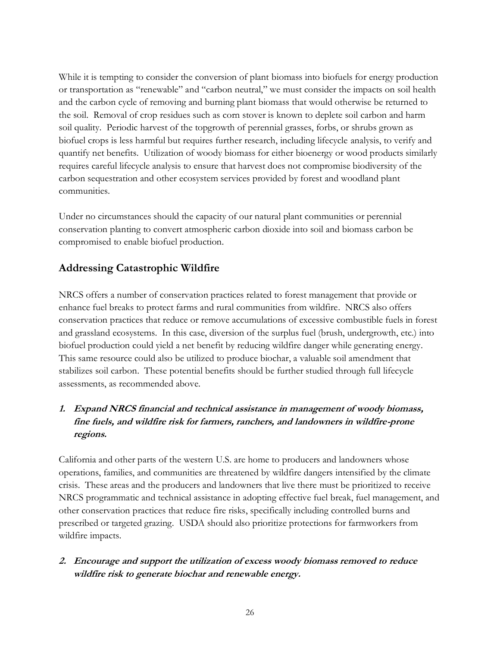While it is tempting to consider the conversion of plant biomass into biofuels for energy production or transportation as "renewable" and "carbon neutral," we must consider the impacts on soil health and the carbon cycle of removing and burning plant biomass that would otherwise be returned to the soil. Removal of crop residues such as corn stover is known to deplete soil carbon and harm soil quality. Periodic harvest of the topgrowth of perennial grasses, forbs, or shrubs grown as biofuel crops is less harmful but requires further research, including lifecycle analysis, to verify and quantify net benefits. Utilization of woody biomass for either bioenergy or wood products similarly requires careful lifecycle analysis to ensure that harvest does not compromise biodiversity of the carbon sequestration and other ecosystem services provided by forest and woodland plant communities.

Under no circumstances should the capacity of our natural plant communities or perennial conservation planting to convert atmospheric carbon dioxide into soil and biomass carbon be compromised to enable biofuel production.

# **Addressing Catastrophic Wildfire**

NRCS offers a number of conservation practices related to forest management that provide or enhance fuel breaks to protect farms and rural communities from wildfire. NRCS also offers conservation practices that reduce or remove accumulations of excessive combustible fuels in forest and grassland ecosystems. In this case, diversion of the surplus fuel (brush, undergrowth, etc.) into biofuel production could yield a net benefit by reducing wildfire danger while generating energy. This same resource could also be utilized to produce biochar, a valuable soil amendment that stabilizes soil carbon. These potential benefits should be further studied through full lifecycle assessments, as recommended above.

## **1. Expand NRCS financial and technical assistance in management of woody biomass, fine fuels, and wildfire risk for farmers, ranchers, and landowners in wildfire-prone regions.**

California and other parts of the western U.S. are home to producers and landowners whose operations, families, and communities are threatened by wildfire dangers intensified by the climate crisis. These areas and the producers and landowners that live there must be prioritized to receive NRCS programmatic and technical assistance in adopting effective fuel break, fuel management, and other conservation practices that reduce fire risks, specifically including controlled burns and prescribed or targeted grazing. USDA should also prioritize protections for farmworkers from wildfire impacts.

### **2. Encourage and support the utilization of excess woody biomass removed to reduce wildfire risk to generate biochar and renewable energy.**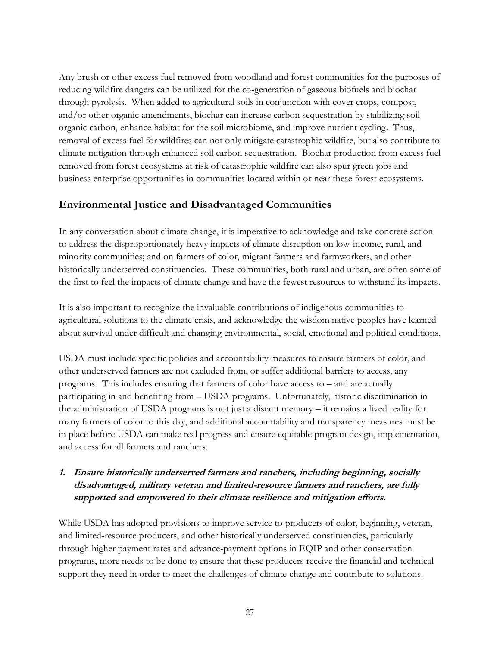Any brush or other excess fuel removed from woodland and forest communities for the purposes of reducing wildfire dangers can be utilized for the co-generation of gaseous biofuels and biochar through pyrolysis. When added to agricultural soils in conjunction with cover crops, compost, and/or other organic amendments, biochar can increase carbon sequestration by stabilizing soil organic carbon, enhance habitat for the soil microbiome, and improve nutrient cycling. Thus, removal of excess fuel for wildfires can not only mitigate catastrophic wildfire, but also contribute to climate mitigation through enhanced soil carbon sequestration. Biochar production from excess fuel removed from forest ecosystems at risk of catastrophic wildfire can also spur green jobs and business enterprise opportunities in communities located within or near these forest ecosystems.

# **Environmental Justice and Disadvantaged Communities**

In any conversation about climate change, it is imperative to acknowledge and take concrete action to address the disproportionately heavy impacts of climate disruption on low-income, rural, and minority communities; and on farmers of color, migrant farmers and farmworkers, and other historically underserved constituencies. These communities, both rural and urban, are often some of the first to feel the impacts of climate change and have the fewest resources to withstand its impacts.

It is also important to recognize the invaluable contributions of indigenous communities to agricultural solutions to the climate crisis, and acknowledge the wisdom native peoples have learned about survival under difficult and changing environmental, social, emotional and political conditions.

USDA must include specific policies and accountability measures to ensure farmers of color, and other underserved farmers are not excluded from, or suffer additional barriers to access, any programs. This includes ensuring that farmers of color have access to – and are actually participating in and benefiting from – USDA programs. Unfortunately, historic discrimination in the administration of USDA programs is not just a distant memory – it remains a lived reality for many farmers of color to this day, and additional accountability and transparency measures must be in place before USDA can make real progress and ensure equitable program design, implementation, and access for all farmers and ranchers.

### **1. Ensure historically underserved farmers and ranchers, including beginning, socially disadvantaged, military veteran and limited-resource farmers and ranchers, are fully supported and empowered in their climate resilience and mitigation efforts.**

While USDA has adopted provisions to improve service to producers of color, beginning, veteran, and limited-resource producers, and other historically underserved constituencies, particularly through higher payment rates and advance-payment options in EQIP and other conservation programs, more needs to be done to ensure that these producers receive the financial and technical support they need in order to meet the challenges of climate change and contribute to solutions.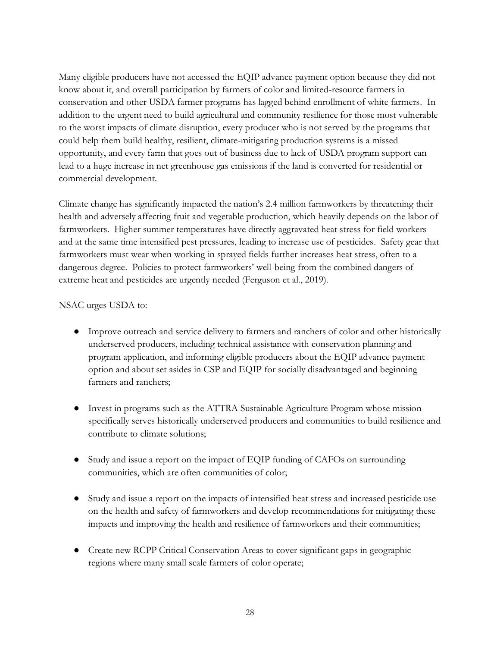Many eligible producers have not accessed the EQIP advance payment option because they did not know about it, and overall participation by farmers of color and limited-resource farmers in conservation and other USDA farmer programs has lagged behind enrollment of white farmers. In addition to the urgent need to build agricultural and community resilience for those most vulnerable to the worst impacts of climate disruption, every producer who is not served by the programs that could help them build healthy, resilient, climate-mitigating production systems is a missed opportunity, and every farm that goes out of business due to lack of USDA program support can lead to a huge increase in net greenhouse gas emissions if the land is converted for residential or commercial development.

Climate change has significantly impacted the nation's 2.4 million farmworkers by threatening their health and adversely affecting fruit and vegetable production, which heavily depends on the labor of farmworkers. Higher summer temperatures have directly aggravated heat stress for field workers and at the same time intensified pest pressures, leading to increase use of pesticides. Safety gear that farmworkers must wear when working in sprayed fields further increases heat stress, often to a dangerous degree. Policies to protect farmworkers' well-being from the combined dangers of extreme heat and pesticides are urgently needed (Ferguson et al., 2019).

#### NSAC urges USDA to:

- Improve outreach and service delivery to farmers and ranchers of color and other historically underserved producers, including technical assistance with conservation planning and program application, and informing eligible producers about the EQIP advance payment option and about set asides in CSP and EQIP for socially disadvantaged and beginning farmers and ranchers;
- Invest in programs such as the ATTRA Sustainable Agriculture Program whose mission specifically serves historically underserved producers and communities to build resilience and contribute to climate solutions;
- Study and issue a report on the impact of EQIP funding of CAFOs on surrounding communities, which are often communities of color;
- Study and issue a report on the impacts of intensified heat stress and increased pesticide use on the health and safety of farmworkers and develop recommendations for mitigating these impacts and improving the health and resilience of farmworkers and their communities;
- Create new RCPP Critical Conservation Areas to cover significant gaps in geographic regions where many small scale farmers of color operate;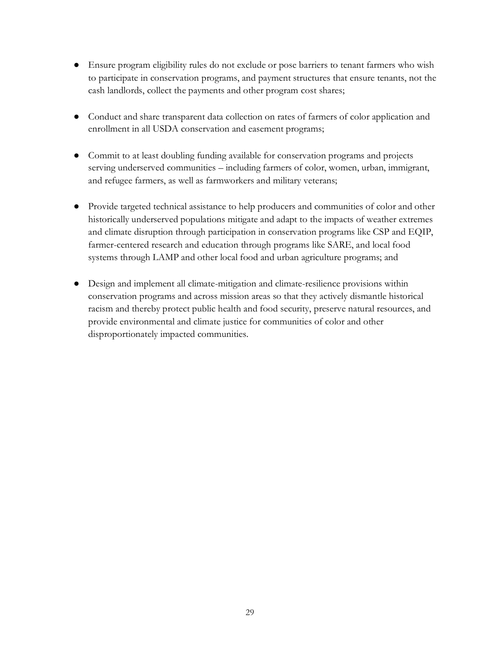- Ensure program eligibility rules do not exclude or pose barriers to tenant farmers who wish to participate in conservation programs, and payment structures that ensure tenants, not the cash landlords, collect the payments and other program cost shares;
- Conduct and share transparent data collection on rates of farmers of color application and enrollment in all USDA conservation and easement programs;
- Commit to at least doubling funding available for conservation programs and projects serving underserved communities – including farmers of color, women, urban, immigrant, and refugee farmers, as well as farmworkers and military veterans;
- Provide targeted technical assistance to help producers and communities of color and other historically underserved populations mitigate and adapt to the impacts of weather extremes and climate disruption through participation in conservation programs like CSP and EQIP, farmer-centered research and education through programs like SARE, and local food systems through LAMP and other local food and urban agriculture programs; and
- Design and implement all climate-mitigation and climate-resilience provisions within conservation programs and across mission areas so that they actively dismantle historical racism and thereby protect public health and food security, preserve natural resources, and provide environmental and climate justice for communities of color and other disproportionately impacted communities.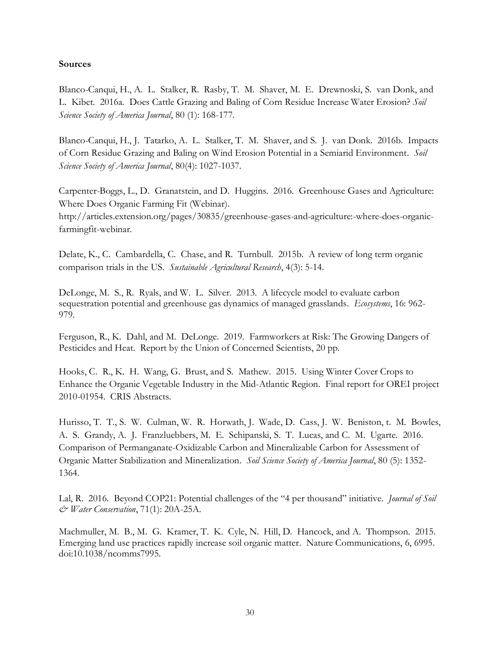#### **Sources**

Blanco-Canqui, H., A. L. Stalker, R. Rasby, T. M. Shaver, M. E. Drewnoski, S. van Donk, and L. Kibet. 2016a. Does Cattle Grazing and Baling of Corn Residue Increase Water Erosion? *Soil Science Society of America Journal*, 80 (1): 168-177.

Blanco-Canqui, H., J. Tatarko, A. L. Stalker, T. M. Shaver, and S. J. van Donk. 2016b. Impacts of Corn Residue Grazing and Baling on Wind Erosion Potential in a Semiarid Environment. *Soil Science Society of America Journal*, 80(4): 1027-1037.

Carpenter-Boggs, L., D. Granatstein, and D. Huggins. 2016. Greenhouse Gases and Agriculture: Where Does Organic Farming Fit (Webinar). http://articles.extension.org/pages/30835/greenhouse-gases-and-agriculture:-where-does-organicfarmingfit-webinar.

Delate, K., C. Cambardella, C. Chase, and R. Turnbull. 2015b. A review of long term organic comparison trials in the US. *Sustainable Agricultural Research*, 4(3): 5-14.

DeLonge, M. S., R. Ryals, and W. L. Silver. 2013. A lifecycle model to evaluate carbon sequestration potential and greenhouse gas dynamics of managed grasslands. *Ecosystems*, 16: 962- 979.

Ferguson, R., K. Dahl, and M. DeLonge. 2019. Farmworkers at Risk: The Growing Dangers of Pesticides and Heat. Report by the Union of Concerned Scientists, 20 pp.

Hooks, C. R., K. H. Wang, G. Brust, and S. Mathew. 2015. Using Winter Cover Crops to Enhance the Organic Vegetable Industry in the Mid-Atlantic Region. Final report for OREI project 2010-01954. CRIS Abstracts.

Hurisso, T. T., S. W. Culman, W. R. Horwath, J. Wade, D. Cass, J. W. Beniston, t. M. Bowles, A. S. Grandy, A. J. Franzluebbers, M. E. Schipanski, S. T. Lucas, and C. M. Ugarte. 2016. Comparison of Permanganate-Oxidizable Carbon and Mineralizable Carbon for Assessment of Organic Matter Stabilization and Mineralization. *Soil Science Society of America Journal*, 80 (5): 1352- 1364.

Lal, R. 2016. Beyond COP21: Potential challenges of the "4 per thousand" initiative. *Journal of Soil & Water Conservation*, 71(1): 20A-25A.

Machmuller, M. B., M. G. Kramer, T. K. Cyle, N. Hill, D. Hancock, and A. Thompson. 2015. Emerging land use practices rapidly increase soil organic matter. Nature Communications, 6, 6995. doi:10.1038/ncomms7995.